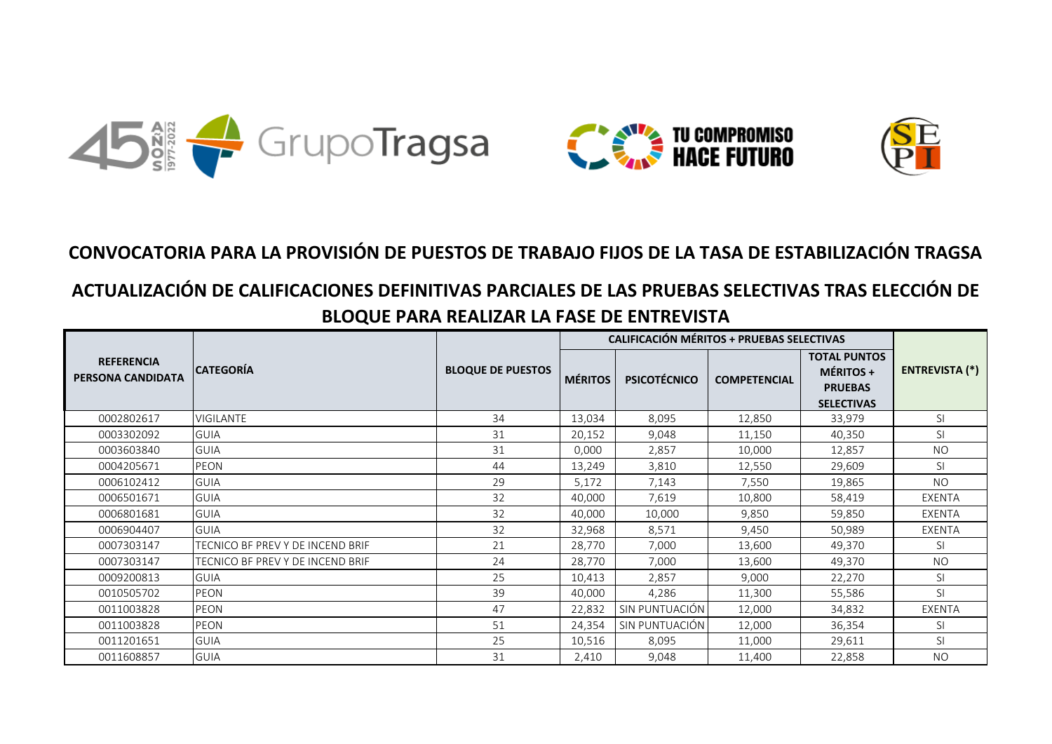

## **CONVOCATORIA PARA LA PROVISIÓN DE PUESTOS DE TRABAJO FIJOS DE LA TASA DE ESTABILIZACIÓN TRAGSA**

## **ACTUALIZACIÓN DE CALIFICACIONES DEFINITIVAS PARCIALES DE LAS PRUEBAS SELECTIVAS TRAS ELECCIÓN DE BLOQUE PARA REALIZAR LA FASE DE ENTREVISTA**

|                                        |                                  |                          |                | <b>CALIFICACIÓN MÉRITOS + PRUEBAS SELECTIVAS</b> |                     |                                                                                |                       |  |
|----------------------------------------|----------------------------------|--------------------------|----------------|--------------------------------------------------|---------------------|--------------------------------------------------------------------------------|-----------------------|--|
| <b>REFERENCIA</b><br>PERSONA CANDIDATA | <b>CATEGORÍA</b>                 | <b>BLOQUE DE PUESTOS</b> | <b>MÉRITOS</b> | <b>PSICOTÉCNICO</b>                              | <b>COMPETENCIAL</b> | <b>TOTAL PUNTOS</b><br><b>MÉRITOS +</b><br><b>PRUEBAS</b><br><b>SELECTIVAS</b> | <b>ENTREVISTA (*)</b> |  |
| 0002802617                             | VIGILANTE                        | 34                       | 13,034         | 8,095                                            | 12,850              | 33,979                                                                         | <sup>SI</sup>         |  |
| 0003302092                             | <b>GUIA</b>                      | 31                       | 20,152         | 9,048                                            | 11,150              | 40,350                                                                         | <sub>SI</sub>         |  |
| 0003603840                             | <b>GUIA</b>                      | 31                       | 0,000          | 2,857                                            | 10,000              | 12,857                                                                         | <b>NO</b>             |  |
| 0004205671                             | <b>PEON</b>                      | 44                       | 13,249         | 3,810                                            | 12,550              | 29,609                                                                         | <sup>SI</sup>         |  |
| 0006102412                             | <b>GUIA</b>                      | 29                       | 5,172          | 7,143                                            | 7,550               | 19,865                                                                         | <b>NO</b>             |  |
| 0006501671                             | <b>GUIA</b>                      | 32                       | 40,000         | 7,619                                            | 10,800              | 58,419                                                                         | EXENTA                |  |
| 0006801681                             | <b>GUIA</b>                      | 32                       | 40,000         | 10,000                                           | 9,850               | 59,850                                                                         | EXENTA                |  |
| 0006904407                             | <b>GUIA</b>                      | 32                       | 32,968         | 8,571                                            | 9,450               | 50,989                                                                         | EXENTA                |  |
| 0007303147                             | TECNICO BF PREV Y DE INCEND BRIF | 21                       | 28,770         | 7,000                                            | 13,600              | 49,370                                                                         | <sub>SI</sub>         |  |
| 0007303147                             | TECNICO BF PREV Y DE INCEND BRIF | 24                       | 28,770         | 7,000                                            | 13,600              | 49,370                                                                         | <b>NO</b>             |  |
| 0009200813                             | <b>GUIA</b>                      | 25                       | 10,413         | 2,857                                            | 9,000               | 22,270                                                                         | <sub>SI</sub>         |  |
| 0010505702                             | PEON                             | 39                       | 40,000         | 4,286                                            | 11,300              | 55,586                                                                         | <sup>SI</sup>         |  |
| 0011003828                             | PEON                             | 47                       | 22,832         | SIN PUNTUACIÓN                                   | 12,000              | 34,832                                                                         | <b>EXENTA</b>         |  |
| 0011003828                             | PEON                             | 51                       | 24,354         | SIN PUNTUACIÓN                                   | 12,000              | 36,354                                                                         | <sup>SI</sup>         |  |
| 0011201651                             | <b>GUIA</b>                      | 25                       | 10,516         | 8,095                                            | 11,000              | 29,611                                                                         | <b>SI</b>             |  |
| 0011608857                             | <b>GUIA</b>                      | 31                       | 2,410          | 9,048                                            | 11,400              | 22,858                                                                         | <b>NO</b>             |  |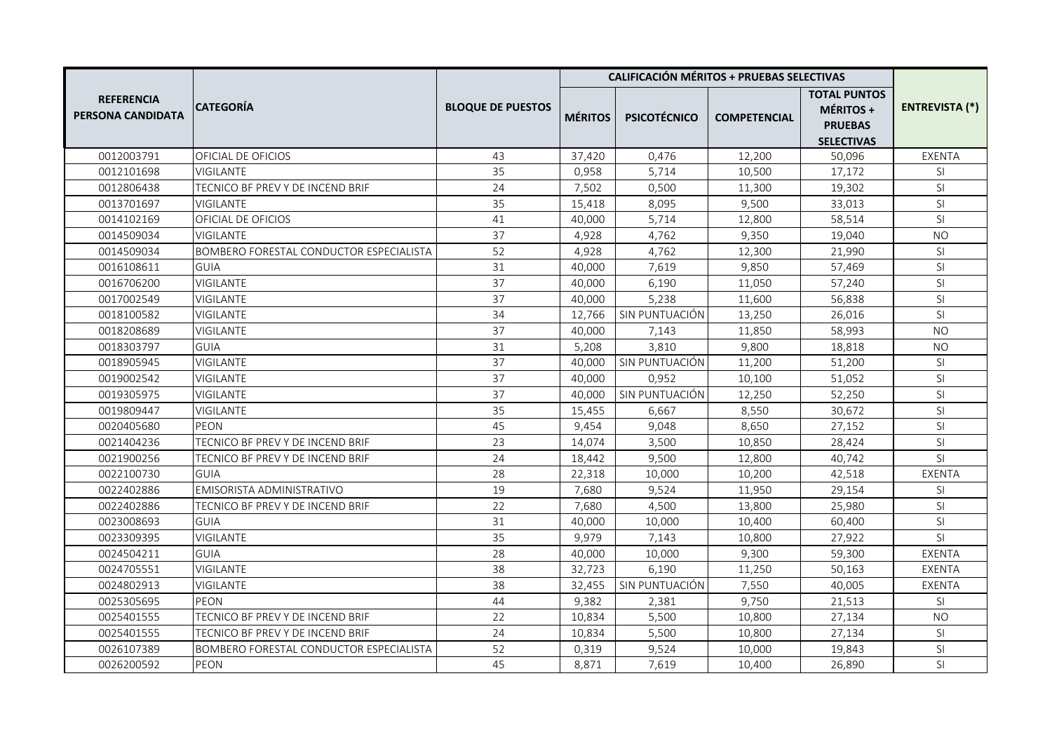|                                        |                                         |                          | <b>CALIFICACIÓN MÉRITOS + PRUEBAS SELECTIVAS</b> |                     |                     |                                                                         |                       |
|----------------------------------------|-----------------------------------------|--------------------------|--------------------------------------------------|---------------------|---------------------|-------------------------------------------------------------------------|-----------------------|
| <b>REFERENCIA</b><br>PERSONA CANDIDATA | <b>CATEGORIA</b>                        | <b>BLOQUE DE PUESTOS</b> | <b>MÉRITOS</b>                                   | <b>PSICOTÉCNICO</b> | <b>COMPETENCIAL</b> | <b>TOTAL PUNTOS</b><br>MÉRITOS +<br><b>PRUEBAS</b><br><b>SELECTIVAS</b> | <b>ENTREVISTA (*)</b> |
| 0012003791                             | OFICIAL DE OFICIOS                      | 43                       | 37,420                                           | 0,476               | 12,200              | 50,096                                                                  | EXENTA                |
| 0012101698                             | <b>VIGILANTE</b>                        | 35                       | 0,958                                            | 5,714               | 10,500              | 17,172                                                                  | SI.                   |
| 0012806438                             | TECNICO BF PREV Y DE INCEND BRIF        | 24                       | 7,502                                            | 0,500               | 11,300              | 19,302                                                                  | SI                    |
| 0013701697                             | <b>VIGILANTE</b>                        | 35                       | 15,418                                           | 8,095               | 9,500               | 33,013                                                                  | SI                    |
| 0014102169                             | OFICIAL DE OFICIOS                      | 41                       | 40,000                                           | 5,714               | 12,800              | 58,514                                                                  | SI                    |
| 0014509034                             | <b>VIGILANTE</b>                        | 37                       | 4,928                                            | 4,762               | 9,350               | 19,040                                                                  | <b>NO</b>             |
| 0014509034                             | BOMBERO FORESTAL CONDUCTOR ESPECIALISTA | 52                       | 4,928                                            | 4,762               | 12,300              | 21,990                                                                  | SI                    |
| 0016108611                             | GUIA                                    | 31                       | 40,000                                           | 7,619               | 9.850               | 57,469                                                                  | SI                    |
| 0016706200                             | VIGILANTE                               | 37                       | 40,000                                           | 6,190               | 11,050              | 57,240                                                                  | SI                    |
| 0017002549                             | <b>VIGILANTE</b>                        | 37                       | 40,000                                           | 5,238               | 11,600              | 56,838                                                                  | SI                    |
| 0018100582                             | <b>VIGILANTE</b>                        | 34                       | 12,766                                           | SIN PUNTUACIÓN      | 13,250              | 26,016                                                                  | SI                    |
| 0018208689                             | VIGILANTE                               | 37                       | 40,000                                           | 7,143               | 11,850              | 58,993                                                                  | <b>NO</b>             |
| 0018303797                             | <b>GUIA</b>                             | 31                       | 5,208                                            | 3,810               | 9,800               | 18,818                                                                  | <b>NO</b>             |
| 0018905945                             | <b>VIGILANTE</b>                        | 37                       | 40,000                                           | SIN PUNTUACIÓN      | 11,200              | 51,200                                                                  | SI                    |
| 0019002542                             | <b>VIGILANTE</b>                        | 37                       | 40,000                                           | 0.952               | 10,100              | 51,052                                                                  | SI                    |
| 0019305975                             | <b>VIGILANTE</b>                        | 37                       | 40,000                                           | SIN PUNTUACIÓN      | 12,250              | 52,250                                                                  | SI                    |
| 0019809447                             | <b>VIGILANTE</b>                        | 35                       | 15,455                                           | 6,667               | 8,550               | 30,672                                                                  | SI                    |
| 0020405680                             | PEON                                    | 45                       | 9,454                                            | 9,048               | 8,650               | 27,152                                                                  | SI.                   |
| 0021404236                             | TECNICO BF PREV Y DE INCEND BRIF        | 23                       | 14,074                                           | 3,500               | 10,850              | 28,424                                                                  | SI                    |
| 0021900256                             | TECNICO BF PREV Y DE INCEND BRIF        | 24                       | 18,442                                           | 9,500               | 12,800              | 40,742                                                                  | SI                    |
| 0022100730                             | <b>GUIA</b>                             | 28                       | 22,318                                           | 10,000              | 10,200              | 42,518                                                                  | <b>EXENTA</b>         |
| 0022402886                             | EMISORISTA ADMINISTRATIVO               | 19                       | 7,680                                            | 9,524               | 11,950              | 29,154                                                                  | SI                    |
| 0022402886                             | TECNICO BF PREV Y DE INCEND BRIF        | 22                       | 7,680                                            | 4,500               | 13,800              | 25,980                                                                  | SI                    |
| 0023008693                             | <b>GUIA</b>                             | 31                       | 40,000                                           | 10,000              | 10,400              | 60,400                                                                  | SI                    |
| 0023309395                             | <b>VIGILANTE</b>                        | 35                       | 9,979                                            | 7,143               | 10,800              | 27,922                                                                  | SI                    |
| 0024504211                             | <b>GUIA</b>                             | 28                       | 40,000                                           | 10,000              | 9,300               | 59,300                                                                  | <b>EXENTA</b>         |
| 0024705551                             | <b>VIGILANTE</b>                        | 38                       | 32,723                                           | 6,190               | 11,250              | 50,163                                                                  | EXENTA                |
| 0024802913                             | VIGILANTE                               | 38                       | 32,455                                           | SIN PUNTUACIÓN      | 7,550               | 40,005                                                                  | EXENTA                |
| 0025305695                             | PEON                                    | 44                       | 9,382                                            | 2,381               | 9,750               | 21,513                                                                  | SI                    |
| 0025401555                             | TECNICO BF PREV Y DE INCEND BRIF        | 22                       | 10,834                                           | 5,500               | 10,800              | 27,134                                                                  | <b>NO</b>             |
| 0025401555                             | TECNICO BF PREV Y DE INCEND BRIF        | 24                       | 10,834                                           | 5,500               | 10,800              | 27,134                                                                  | SI.                   |
| 0026107389                             | BOMBERO FORESTAL CONDUCTOR ESPECIALISTA | 52                       | 0,319                                            | 9,524               | 10,000              | 19,843                                                                  | SI                    |
| 0026200592                             | PEON                                    | 45                       | 8,871                                            | 7,619               | 10,400              | 26,890                                                                  | SI.                   |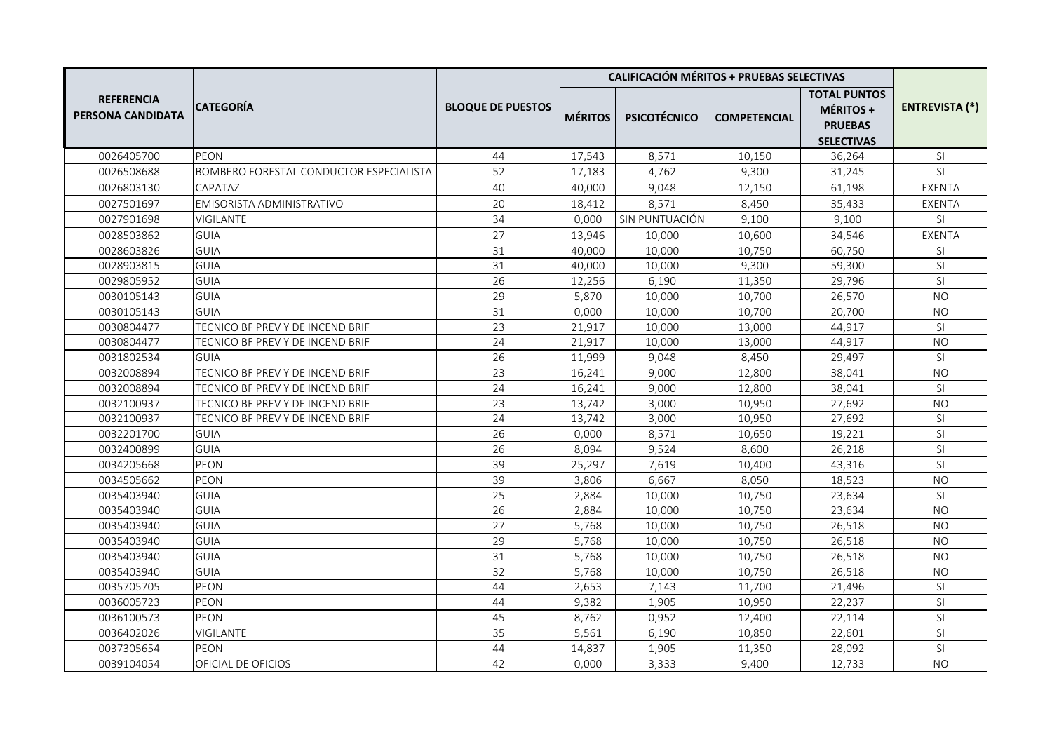|                                        |                                         |                          |                | <b>CALIFICACIÓN MÉRITOS + PRUEBAS SELECTIVAS</b> |                     |                                                                         |                       |  |
|----------------------------------------|-----------------------------------------|--------------------------|----------------|--------------------------------------------------|---------------------|-------------------------------------------------------------------------|-----------------------|--|
| <b>REFERENCIA</b><br>PERSONA CANDIDATA | CATEGORÍA                               | <b>BLOQUE DE PUESTOS</b> | <b>MÉRITOS</b> | <b>PSICOTÉCNICO</b>                              | <b>COMPETENCIAL</b> | <b>TOTAL PUNTOS</b><br>MÉRITOS +<br><b>PRUEBAS</b><br><b>SELECTIVAS</b> | <b>ENTREVISTA (*)</b> |  |
| 0026405700                             | PEON                                    | 44                       | 17,543         | 8,571                                            | 10,150              | 36,264                                                                  | SI                    |  |
| 0026508688                             | BOMBERO FORESTAL CONDUCTOR ESPECIALISTA | 52                       | 17,183         | 4,762                                            | 9,300               | 31,245                                                                  | <b>SI</b>             |  |
| 0026803130                             | CAPATAZ                                 | 40                       | 40,000         | 9,048                                            | 12,150              | 61,198                                                                  | EXENTA                |  |
| 0027501697                             | EMISORISTA ADMINISTRATIVO               | 20                       | 18,412         | 8,571                                            | 8,450               | 35,433                                                                  | EXENTA                |  |
| 0027901698                             | <b>VIGILANTE</b>                        | 34                       | 0,000          | SIN PUNTUACIÓN                                   | 9,100               | 9,100                                                                   | SI                    |  |
| 0028503862                             | <b>GUIA</b>                             | 27                       | 13,946         | 10,000                                           | 10,600              | 34,546                                                                  | EXENTA                |  |
| 0028603826                             | <b>GUIA</b>                             | 31                       | 40,000         | 10,000                                           | 10,750              | 60,750                                                                  | SI                    |  |
| 0028903815                             | <b>GUIA</b>                             | 31                       | 40,000         | 10,000                                           | 9,300               | 59,300                                                                  | SI                    |  |
| 0029805952                             | <b>GUIA</b>                             | 26                       | 12,256         | 6,190                                            | 11,350              | 29,796                                                                  | SI                    |  |
| 0030105143                             | <b>GUIA</b>                             | 29                       | 5,870          | 10,000                                           | 10,700              | 26,570                                                                  | <b>NO</b>             |  |
| 0030105143                             | <b>GUIA</b>                             | 31                       | 0,000          | 10,000                                           | 10,700              | 20,700                                                                  | <b>NO</b>             |  |
| 0030804477                             | TECNICO BF PREV Y DE INCEND BRIF        | 23                       | 21,917         | 10,000                                           | 13,000              | 44,917                                                                  | SI.                   |  |
| 0030804477                             | TECNICO BF PREV Y DE INCEND BRIF        | 24                       | 21,917         | 10,000                                           | 13,000              | 44,917                                                                  | <b>NO</b>             |  |
| 0031802534                             | <b>GUIA</b>                             | 26                       | 11,999         | 9,048                                            | 8,450               | 29,497                                                                  | SI.                   |  |
| 0032008894                             | TECNICO BF PREV Y DE INCEND BRIF        | 23                       | 16,241         | 9,000                                            | 12,800              | 38,041                                                                  | <b>NO</b>             |  |
| 0032008894                             | TECNICO BF PREV Y DE INCEND BRIF        | 24                       | 16,241         | 9,000                                            | 12,800              | 38,041                                                                  | SI                    |  |
| 0032100937                             | TECNICO BF PREV Y DE INCEND BRIF        | 23                       | 13,742         | 3,000                                            | 10,950              | 27,692                                                                  | <b>NO</b>             |  |
| 0032100937                             | TECNICO BF PREV Y DE INCEND BRIF        | 24                       | 13,742         | 3,000                                            | 10,950              | 27,692                                                                  | SI.                   |  |
| 0032201700                             | <b>GUIA</b>                             | 26                       | 0,000          | 8,571                                            | 10,650              | 19,221                                                                  | SI                    |  |
| 0032400899                             | <b>GUIA</b>                             | 26                       | 8,094          | 9,524                                            | 8,600               | 26,218                                                                  | SI                    |  |
| 0034205668                             | PEON                                    | 39                       | 25,297         | 7,619                                            | 10,400              | 43,316                                                                  | SI                    |  |
| 0034505662                             | PEON                                    | 39                       | 3,806          | 6,667                                            | 8,050               | 18,523                                                                  | <b>NO</b>             |  |
| 0035403940                             | <b>GUIA</b>                             | 25                       | 2,884          | 10,000                                           | 10,750              | 23,634                                                                  | SI                    |  |
| 0035403940                             | <b>GUIA</b>                             | 26                       | 2,884          | 10,000                                           | 10,750              | 23,634                                                                  | <b>NO</b>             |  |
| 0035403940                             | <b>GUIA</b>                             | 27                       | 5,768          | 10,000                                           | 10,750              | 26,518                                                                  | <b>NO</b>             |  |
| 0035403940                             | <b>GUIA</b>                             | 29                       | 5,768          | 10,000                                           | 10,750              | 26,518                                                                  | <b>NO</b>             |  |
| 0035403940                             | <b>GUIA</b>                             | 31                       | 5,768          | 10,000                                           | 10,750              | 26,518                                                                  | N <sub>O</sub>        |  |
| 0035403940                             | <b>GUIA</b>                             | 32                       | 5,768          | 10,000                                           | 10,750              | 26,518                                                                  | <b>NO</b>             |  |
| 0035705705                             | <b>PEON</b>                             | 44                       | 2,653          | 7,143                                            | 11,700              | 21,496                                                                  | SI                    |  |
| 0036005723                             | PEON                                    | 44                       | 9,382          | 1,905                                            | 10,950              | 22,237                                                                  | SI                    |  |
| 0036100573                             | <b>PEON</b>                             | 45                       | 8,762          | 0,952                                            | 12,400              | 22,114                                                                  | SI.                   |  |
| 0036402026                             | <b>VIGILANTE</b>                        | 35                       | 5,561          | 6,190                                            | 10,850              | 22,601                                                                  | SI                    |  |
| 0037305654                             | PEON                                    | 44                       | 14,837         | 1,905                                            | 11,350              | 28,092                                                                  | SI                    |  |
| 0039104054                             | OFICIAL DE OFICIOS                      | 42                       | 0,000          | 3,333                                            | 9,400               | 12,733                                                                  | <b>NO</b>             |  |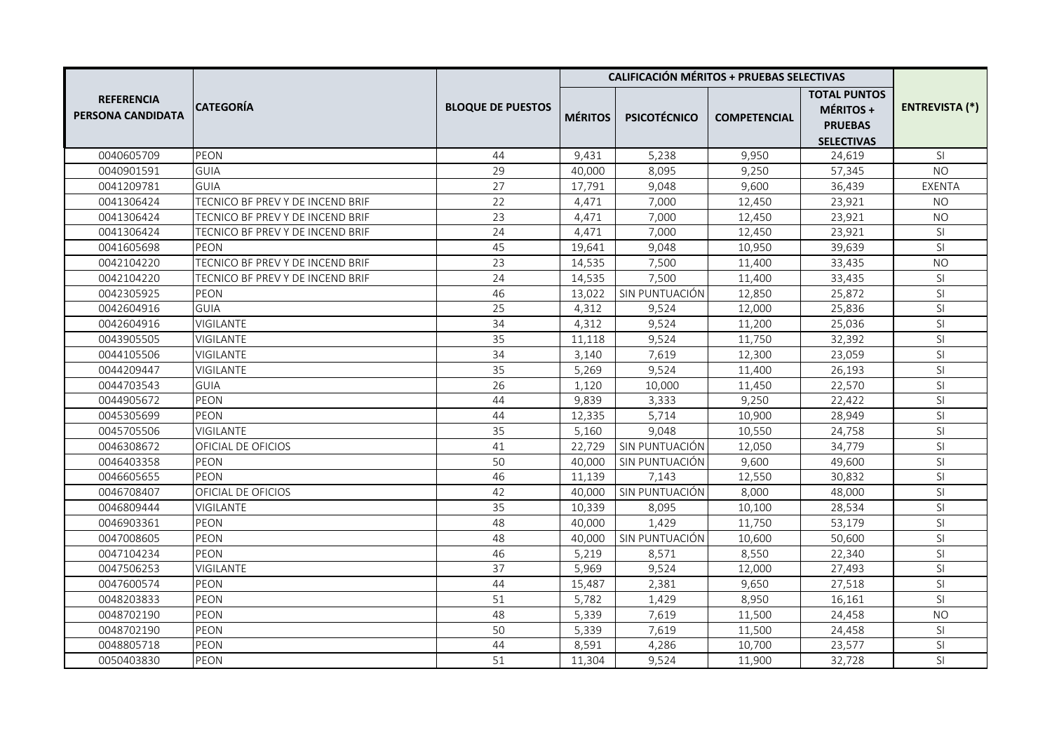|                                               |                                  |                          | <b>CALIFICACIÓN MÉRITOS + PRUEBAS SELECTIVAS</b> |                     |                     |                                                                         |                |
|-----------------------------------------------|----------------------------------|--------------------------|--------------------------------------------------|---------------------|---------------------|-------------------------------------------------------------------------|----------------|
| <b>REFERENCIA</b><br><b>PERSONA CANDIDATA</b> | CATEGORÍA                        | <b>BLOQUE DE PUESTOS</b> | <b>MÉRITOS</b>                                   | <b>PSICOTÉCNICO</b> | <b>COMPETENCIAL</b> | <b>TOTAL PUNTOS</b><br>MÉRITOS +<br><b>PRUEBAS</b><br><b>SELECTIVAS</b> | ENTREVISTA (*) |
| 0040605709                                    | PEON                             | 44                       | 9,431                                            | 5,238               | 9,950               | 24,619                                                                  | SI.            |
| 0040901591                                    | GUIA                             | 29                       | 40,000                                           | 8,095               | 9,250               | 57,345                                                                  | NO             |
| 0041209781                                    | <b>GUIA</b>                      | 27                       | 17,791                                           | 9,048               | 9,600               | 36,439                                                                  | EXENTA         |
| 0041306424                                    | TECNICO BF PREV Y DE INCEND BRIF | 22                       | 4,471                                            | 7,000               | 12,450              | 23,921                                                                  | <b>NO</b>      |
| 0041306424                                    | TECNICO BF PREV Y DE INCEND BRIF | 23                       | 4,471                                            | 7,000               | 12,450              | 23,921                                                                  | <b>NO</b>      |
| 0041306424                                    | TECNICO BF PREV Y DE INCEND BRIF | 24                       | 4,471                                            | 7,000               | 12,450              | 23,921                                                                  | SI             |
| 0041605698                                    | PEON                             | 45                       | 19,641                                           | 9,048               | 10,950              | 39,639                                                                  | SI             |
| 0042104220                                    | TECNICO BF PREV Y DE INCEND BRIF | 23                       | 14,535                                           | 7,500               | 11,400              | 33,435                                                                  | <b>NO</b>      |
| 0042104220                                    | TECNICO BF PREV Y DE INCEND BRIF | 24                       | 14,535                                           | 7,500               | 11,400              | 33,435                                                                  | SI             |
| 0042305925                                    | <b>PEON</b>                      | 46                       | 13,022                                           | SIN PUNTUACIÓN      | 12,850              | 25,872                                                                  | SI.            |
| 0042604916                                    | <b>GUIA</b>                      | 25                       | 4,312                                            | 9,524               | 12,000              | 25,836                                                                  | SI             |
| 0042604916                                    | VIGILANTE                        | 34                       | 4,312                                            | 9,524               | 11,200              | 25,036                                                                  | SI             |
| 0043905505                                    | <b>VIGILANTE</b>                 | 35                       | 11,118                                           | 9,524               | 11,750              | 32,392                                                                  | SI             |
| 0044105506                                    | <b>VIGILANTE</b>                 | 34                       | 3,140                                            | 7,619               | 12,300              | 23,059                                                                  | SI             |
| 0044209447                                    | VIGILANTE                        | 35                       | 5,269                                            | 9,524               | 11,400              | 26,193                                                                  | <b>SI</b>      |
| 0044703543                                    | <b>GUIA</b>                      | 26                       | 1,120                                            | 10,000              | 11,450              | 22,570                                                                  | SI.            |
| 0044905672                                    | PEON                             | 44                       | 9,839                                            | 3,333               | 9,250               | 22,422                                                                  | SI             |
| 0045305699                                    | PEON                             | 44                       | 12,335                                           | 5,714               | 10,900              | 28,949                                                                  | SI.            |
| 0045705506                                    | <b>VIGILANTE</b>                 | 35                       | 5,160                                            | 9,048               | 10,550              | 24,758                                                                  | SI.            |
| 0046308672                                    | OFICIAL DE OFICIOS               | 41                       | 22,729                                           | SIN PUNTUACIÓN      | 12,050              | 34,779                                                                  | SI             |
| 0046403358                                    | PEON                             | 50                       | 40,000                                           | SIN PUNTUACIÓN      | 9,600               | 49,600                                                                  | SI             |
| 0046605655                                    | PEON                             | 46                       | 11,139                                           | 7,143               | 12,550              | 30,832                                                                  | SI             |
| 0046708407                                    | OFICIAL DE OFICIOS               | 42                       | 40,000                                           | SIN PUNTUACIÓN      | 8,000               | 48,000                                                                  | SI             |
| 0046809444                                    | VIGILANTE                        | 35                       | 10,339                                           | 8,095               | 10,100              | 28,534                                                                  | SI             |
| 0046903361                                    | PEON                             | 48                       | 40,000                                           | 1,429               | 11,750              | 53,179                                                                  | SI             |
| 0047008605                                    | PEON                             | 48                       | 40,000                                           | SIN PUNTUACIÓN      | 10,600              | 50,600                                                                  | SI             |
| 0047104234                                    | PEON                             | 46                       | 5,219                                            | 8,571               | 8,550               | 22,340                                                                  | <b>SI</b>      |
| 0047506253                                    | <b>VIGILANTE</b>                 | 37                       | 5,969                                            | 9,524               | 12,000              | 27,493                                                                  | SI             |
| 0047600574                                    | PEON                             | 44                       | 15,487                                           | 2,381               | 9,650               | 27,518                                                                  | SI.            |
| 0048203833                                    | PEON                             | 51                       | 5,782                                            | 1,429               | 8,950               | 16,161                                                                  | SI             |
| 0048702190                                    | PEON                             | 48                       | 5,339                                            | 7,619               | 11,500              | 24,458                                                                  | <b>NO</b>      |
| 0048702190                                    | PEON                             | 50                       | 5,339                                            | 7,619               | 11,500              | 24,458                                                                  | SI             |
| 0048805718                                    | PEON                             | 44                       | 8,591                                            | 4,286               | 10,700              | 23,577                                                                  | SI             |
| 0050403830                                    | PEON                             | 51                       | 11,304                                           | 9,524               | 11,900              | 32,728                                                                  | <b>SI</b>      |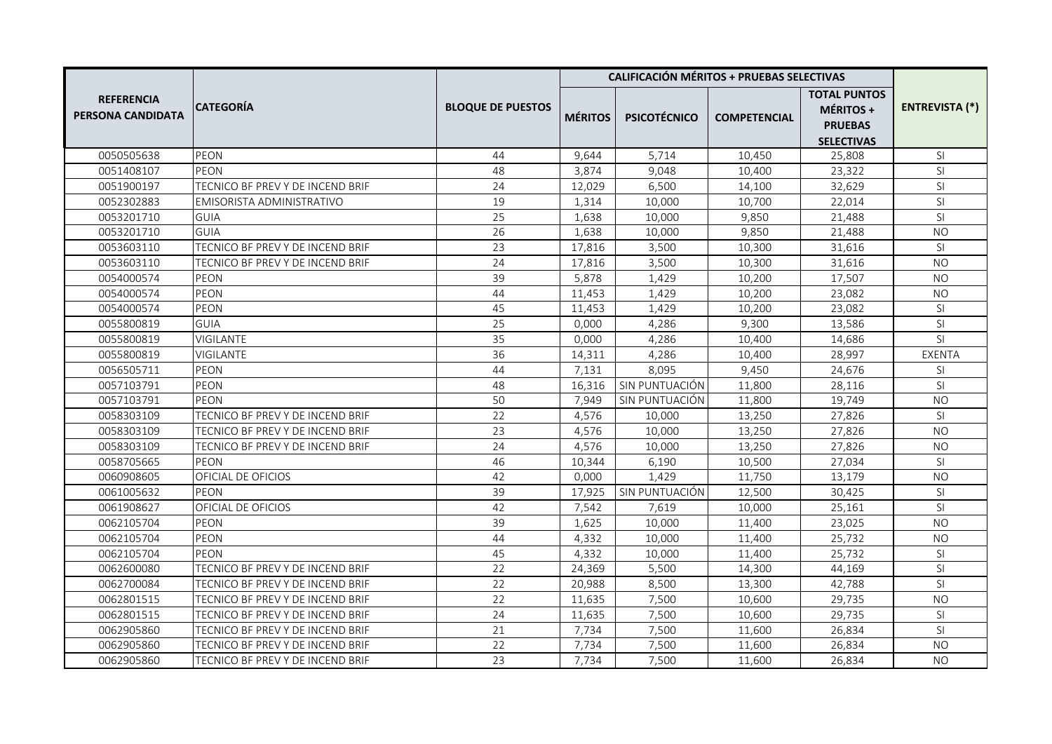|                                               |                                  |                          | <b>CALIFICACIÓN MÉRITOS + PRUEBAS SELECTIVAS</b> |                     |                     |                                                                         |                       |
|-----------------------------------------------|----------------------------------|--------------------------|--------------------------------------------------|---------------------|---------------------|-------------------------------------------------------------------------|-----------------------|
| <b>REFERENCIA</b><br><b>PERSONA CANDIDATA</b> | <b>CATEGORIA</b>                 | <b>BLOQUE DE PUESTOS</b> | <b>MÉRITOS</b>                                   | <b>PSICOTÉCNICO</b> | <b>COMPETENCIAL</b> | <b>TOTAL PUNTOS</b><br>MÉRITOS +<br><b>PRUEBAS</b><br><b>SELECTIVAS</b> | <b>ENTREVISTA (*)</b> |
| 0050505638                                    | <b>PEON</b>                      | 44                       | 9,644                                            | 5,714               | 10,450              | 25,808                                                                  | SI                    |
| 0051408107                                    | PEON                             | 48                       | 3,874                                            | 9,048               | 10,400              | 23,322                                                                  | SI                    |
| 0051900197                                    | TECNICO BF PREV Y DE INCEND BRIF | 24                       | 12,029                                           | 6,500               | 14,100              | 32,629                                                                  | SI                    |
| 0052302883                                    | EMISORISTA ADMINISTRATIVO        | 19                       | 1,314                                            | 10,000              | 10,700              | 22,014                                                                  | SI.                   |
| 0053201710                                    | <b>GUIA</b>                      | 25                       | 1,638                                            | 10,000              | 9,850               | 21,488                                                                  | SI                    |
| 0053201710                                    | GUIA                             | 26                       | 1,638                                            | 10,000              | 9,850               | 21,488                                                                  | <b>NO</b>             |
| 0053603110                                    | TECNICO BF PREV Y DE INCEND BRIF | 23                       | 17,816                                           | 3,500               | 10,300              | 31,616                                                                  | SI                    |
| 0053603110                                    | TECNICO BF PREV Y DE INCEND BRIF | 24                       | 17,816                                           | 3,500               | 10,300              | 31,616                                                                  | <b>NO</b>             |
| 0054000574                                    | <b>PEON</b>                      | 39                       | 5,878                                            | 1,429               | 10,200              | 17,507                                                                  | N <sub>O</sub>        |
| 0054000574                                    | <b>PEON</b>                      | 44                       | 11,453                                           | 1,429               | 10,200              | 23,082                                                                  | NO.                   |
| 0054000574                                    | PEON                             | 45                       | 11,453                                           | 1,429               | 10,200              | 23,082                                                                  | SI                    |
| 0055800819                                    | <b>GUIA</b>                      | 25                       | 0,000                                            | 4,286               | 9,300               | 13,586                                                                  | SI                    |
| 0055800819                                    | <b>VIGILANTE</b>                 | 35                       | 0,000                                            | 4,286               | 10,400              | 14,686                                                                  | SI                    |
| 0055800819                                    | <b>VIGILANTE</b>                 | 36                       | 14,311                                           | 4,286               | 10,400              | 28,997                                                                  | EXENTA                |
| 0056505711                                    | PEON                             | 44                       | 7,131                                            | 8,095               | 9,450               | 24,676                                                                  | SI                    |
| 0057103791                                    | PEON                             | 48                       | 16,316                                           | SIN PUNTUACIÓN      | 11,800              | 28,116                                                                  | SI.                   |
| 0057103791                                    | PEON                             | 50                       | 7,949                                            | SIN PUNTUACIÓN      | 11,800              | 19,749                                                                  | <b>NO</b>             |
| 0058303109                                    | TECNICO BF PREV Y DE INCEND BRIF | 22                       | 4,576                                            | 10,000              | 13,250              | 27,826                                                                  | SI.                   |
| 0058303109                                    | TECNICO BF PREV Y DE INCEND BRIF | 23                       | 4,576                                            | 10,000              | 13,250              | 27,826                                                                  | <b>NO</b>             |
| 0058303109                                    | TECNICO BF PREV Y DE INCEND BRIF | 24                       | 4,576                                            | 10,000              | 13,250              | 27,826                                                                  | <b>NO</b>             |
| 0058705665                                    | PEON                             | 46                       | 10,344                                           | 6,190               | 10,500              | 27,034                                                                  | SI                    |
| 0060908605                                    | OFICIAL DE OFICIOS               | 42                       | 0,000                                            | 1,429               | 11,750              | 13,179                                                                  | <b>NO</b>             |
| 0061005632                                    | <b>PEON</b>                      | 39                       | 17,925                                           | SIN PUNTUACIÓN      | 12,500              | 30,425                                                                  | SI                    |
| 0061908627                                    | OFICIAL DE OFICIOS               | 42                       | 7,542                                            | 7,619               | 10,000              | 25,161                                                                  | SI                    |
| 0062105704                                    | PEON                             | 39                       | 1,625                                            | 10,000              | 11,400              | 23,025                                                                  | <b>NO</b>             |
| 0062105704                                    | PEON                             | 44                       | 4,332                                            | 10,000              | 11,400              | 25,732                                                                  | <b>NO</b>             |
| 0062105704                                    | PEON                             | 45                       | 4,332                                            | 10,000              | 11,400              | 25,732                                                                  | SI.                   |
| 0062600080                                    | TECNICO BF PREV Y DE INCEND BRIF | 22                       | 24,369                                           | 5,500               | 14,300              | 44,169                                                                  | SI                    |
| 0062700084                                    | TECNICO BF PREV Y DE INCEND BRIF | 22                       | 20,988                                           | 8,500               | 13,300              | 42,788                                                                  | SI                    |
| 0062801515                                    | TECNICO BF PREV Y DE INCEND BRIF | 22                       | 11,635                                           | 7,500               | 10,600              | 29,735                                                                  | <b>NO</b>             |
| 0062801515                                    | TECNICO BF PREV Y DE INCEND BRIF | 24                       | 11,635                                           | 7,500               | 10,600              | 29,735                                                                  | SI                    |
| 0062905860                                    | TECNICO BF PREV Y DE INCEND BRIF | 21                       | 7,734                                            | 7,500               | 11,600              | 26,834                                                                  | SI                    |
| 0062905860                                    | TECNICO BF PREV Y DE INCEND BRIF | 22                       | 7,734                                            | 7,500               | 11,600              | 26,834                                                                  | <b>NO</b>             |
| 0062905860                                    | TECNICO BF PREV Y DE INCEND BRIF | 23                       | 7,734                                            | 7,500               | 11,600              | 26,834                                                                  | <b>NO</b>             |